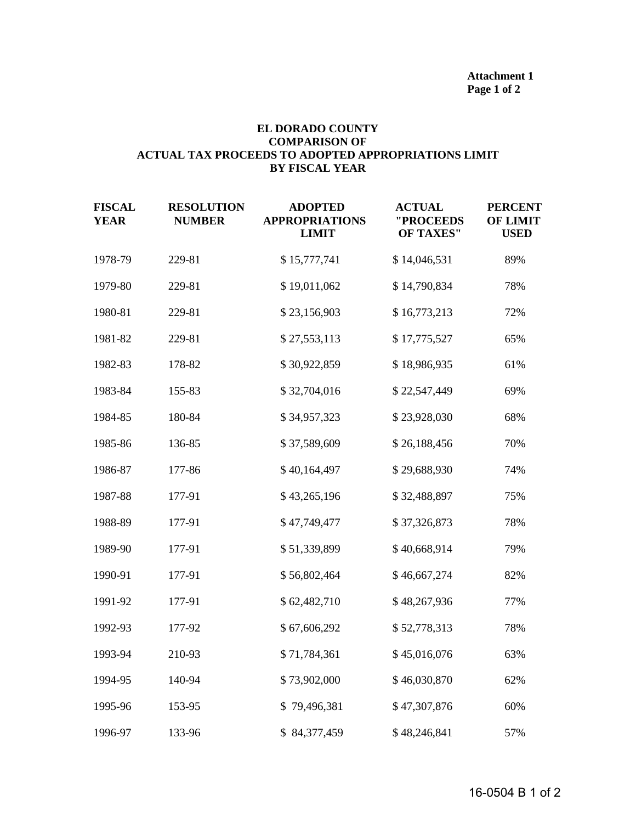## **EL DORADO COUNTY COMPARISON OF ACTUAL TAX PROCEEDS TO ADOPTED APPROPRIATIONS LIMIT BY FISCAL YEAR**

| <b>FISCAL</b><br><b>YEAR</b> | <b>RESOLUTION</b><br><b>NUMBER</b> | <b>ADOPTED</b><br><b>APPROPRIATIONS</b><br><b>LIMIT</b> | <b>ACTUAL</b><br>"PROCEEDS<br><b>OF TAXES"</b> | <b>PERCENT</b><br><b>OF LIMIT</b><br><b>USED</b> |
|------------------------------|------------------------------------|---------------------------------------------------------|------------------------------------------------|--------------------------------------------------|
| 1978-79                      | 229-81                             | \$15,777,741                                            | \$14,046,531                                   | 89%                                              |
| 1979-80                      | 229-81                             | \$19,011,062                                            | \$14,790,834                                   | 78%                                              |
| 1980-81                      | 229-81                             | \$23,156,903                                            | \$16,773,213                                   | 72%                                              |
| 1981-82                      | 229-81                             | \$27,553,113                                            | \$17,775,527                                   | 65%                                              |
| 1982-83                      | 178-82                             | \$30,922,859                                            | \$18,986,935                                   | 61%                                              |
| 1983-84                      | 155-83                             | \$32,704,016                                            | \$22,547,449                                   | 69%                                              |
| 1984-85                      | 180-84                             | \$34,957,323                                            | \$23,928,030                                   | 68%                                              |
| 1985-86                      | 136-85                             | \$37,589,609                                            | \$26,188,456                                   | 70%                                              |
| 1986-87                      | 177-86                             | \$40,164,497                                            | \$29,688,930                                   | 74%                                              |
| 1987-88                      | 177-91                             | \$43,265,196                                            | \$32,488,897                                   | 75%                                              |
| 1988-89                      | 177-91                             | \$47,749,477                                            | \$37,326,873                                   | 78%                                              |
| 1989-90                      | 177-91                             | \$51,339,899                                            | \$40,668,914                                   | 79%                                              |
| 1990-91                      | 177-91                             | \$56,802,464                                            | \$46,667,274                                   | 82%                                              |
| 1991-92                      | 177-91                             | \$62,482,710                                            | \$48,267,936                                   | 77%                                              |
| 1992-93                      | 177-92                             | \$67,606,292                                            | \$52,778,313                                   | 78%                                              |
| 1993-94                      | 210-93                             | \$71,784,361                                            | \$45,016,076                                   | 63%                                              |
| 1994-95                      | 140-94                             | \$73,902,000                                            | \$46,030,870                                   | 62%                                              |
| 1995-96                      | 153-95                             | \$79,496,381                                            | \$47,307,876                                   | 60%                                              |
| 1996-97                      | 133-96                             | \$84,377,459                                            | \$48,246,841                                   | 57%                                              |